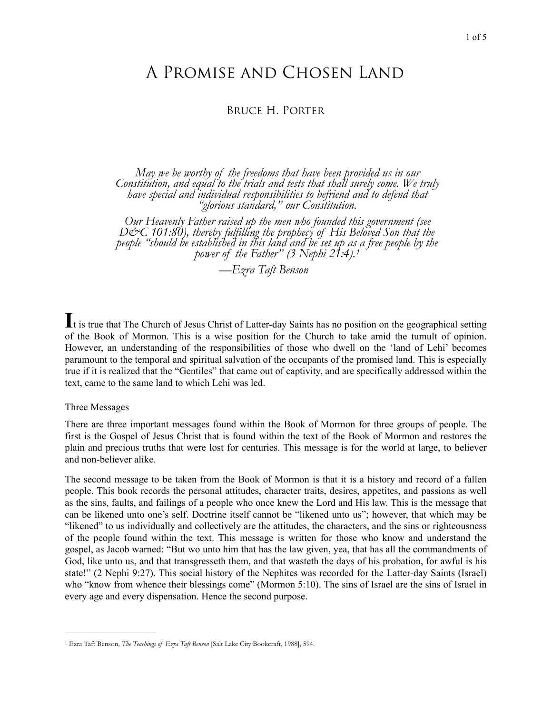# A Promise and Chosen Land

## Bruce H. Porter

May we be worthy of the freedoms that have been provided us in our<br>Constitution, and equal to the trials and tests that shall surely come. We truly<br>have special and individual responsibilities to befriend and to defend tha

*Our Heavenly Father raised up the men who founded this government (see*  D&C 101:80), thereby fulfilling the prophecy of His Beloved Son that the *people "should be established in this land and be set up a[s](#page-0-0) a free people by the power of the Father" (3 Nephi 21:4).[1](#page-0-0)*

<span id="page-0-1"></span>*—Ezra Taft Benson* 

**I**t is true that The Church of Jesus Christ of Latter-day Saints has no position on the geographical setting of the Book of Mormon. This is a wise position for the Church to take amid the tumult of opinion. However, an understanding of the responsibilities of those who dwell on the 'land of Lehi' becomes paramount to the temporal and spiritual salvation of the occupants of the promised land. This is especially true if it is realized that the "Gentiles" that came out of captivity, and are specifically addressed within the text, came to the same land to which Lehi was led.

#### Three Messages

There are three important messages found within the Book of Mormon for three groups of people. The first is the Gospel of Jesus Christ that is found within the text of the Book of Mormon and restores the plain and precious truths that were lost for centuries. This message is for the world at large, to believer and non-believer alike.

The second message to be taken from the Book of Mormon is that it is a history and record of a fallen people. This book records the personal attitudes, character traits, desires, appetites, and passions as well as the sins, faults, and failings of a people who once knew the Lord and His law. This is the message that can be likened unto one's self. Doctrine itself cannot be "likened unto us"; however, that which may be "likened" to us individually and collectively are the attitudes, the characters, and the sins or righteousness of the people found within the text. This message is written for those who know and understand the gospel, as Jacob warned: "But wo unto him that has the law given, yea, that has all the commandments of God, like unto us, and that transgresseth them, and that wasteth the days of his probation, for awful is his state!" (2 Nephi 9:27). This social history of the Nephites was recorded for the Latter-day Saints (Israel) who "know from whence their blessings come" (Mormon 5:10). The sins of Israel are the sins of Israel in every age and every dispensation. Hence the second purpose.

<span id="page-0-0"></span><sup>&</sup>lt;sup>[1](#page-0-1)</sup> Ezra Taft Benson, *The Teachings of Ezra Taft Benson* [Salt Lake City:Bookcraft, 1988], 594.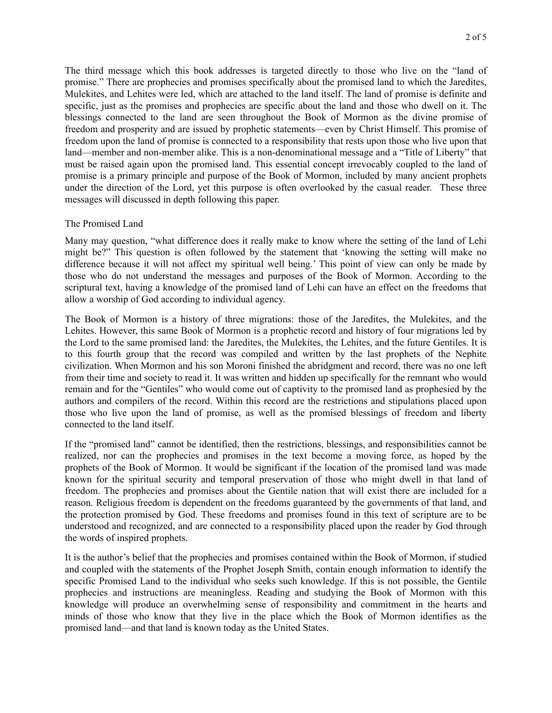The third message which this book addresses is targeted directly to those who live on the "land of promise." There are prophecies and promises specifically about the promised land to which the Jaredites, Mulekites, and Lehites were led, which are attached to the land itself. The land of promise is definite and specific, just as the promises and prophecies are specific about the land and those who dwell on it. The blessings connected to the land are seen throughout the Book of Mormon as the divine promise of freedom and prosperity and are issued by prophetic statements—even by Christ Himself. This promise of freedom upon the land of promise is connected to a responsibility that rests upon those who live upon that land—member and non-member alike. This is a non-denominational message and a "Title of Liberty" that must be raised again upon the promised land. This essential concept irrevocably coupled to the land of promise is a primary principle and purpose of the Book of Mormon, included by many ancient prophets under the direction of the Lord, yet this purpose is often overlooked by the casual reader. These three messages will discussed in depth following this paper.

#### The Promised Land

Many may question, "what difference does it really make to know where the setting of the land of Lehi might be?" This question is often followed by the statement that 'knowing the setting will make no difference because it will not affect my spiritual well being.' This point of view can only be made by those who do not understand the messages and purposes of the Book of Mormon. According to the scriptural text, having a knowledge of the promised land of Lehi can have an effect on the freedoms that allow a worship of God according to individual agency.

The Book of Mormon is a history of three migrations: those of the Jaredites, the Mulekites, and the Lehites. However, this same Book of Mormon is a prophetic record and history of four migrations led by the Lord to the same promised land: the Jaredites, the Mulekites, the Lehites, and the future Gentiles. It is to this fourth group that the record was compiled and written by the last prophets of the Nephite civilization. When Mormon and his son Moroni finished the abridgment and record, there was no one left from their time and society to read it. It was written and hidden up specifically for the remnant who would remain and for the "Gentiles" who would come out of captivity to the promised land as prophesied by the authors and compilers of the record. Within this record are the restrictions and stipulations placed upon those who live upon the land of promise, as well as the promised blessings of freedom and liberty connected to the land itself.

If the "promised land" cannot be identified, then the restrictions, blessings, and responsibilities cannot be realized, nor can the prophecies and promises in the text become a moving force, as hoped by the prophets of the Book of Mormon. It would be significant if the location of the promised land was made known for the spiritual security and temporal preservation of those who might dwell in that land of freedom. The prophecies and promises about the Gentile nation that will exist there are included for a reason. Religious freedom is dependent on the freedoms guaranteed by the governments of that land, and the protection promised by God. These freedoms and promises found in this text of scripture are to be understood and recognized, and are connected to a responsibility placed upon the reader by God through the words of inspired prophets.

It is the author's belief that the prophecies and promises contained within the Book of Mormon, if studied and coupled with the statements of the Prophet Joseph Smith, contain enough information to identify the specific Promised Land to the individual who seeks such knowledge. If this is not possible, the Gentile prophecies and instructions are meaningless. Reading and studying the Book of Mormon with this knowledge will produce an overwhelming sense of responsibility and commitment in the hearts and minds of those who know that they live in the place which the Book of Mormon identifies as the promised land—and that land is known today as the United States.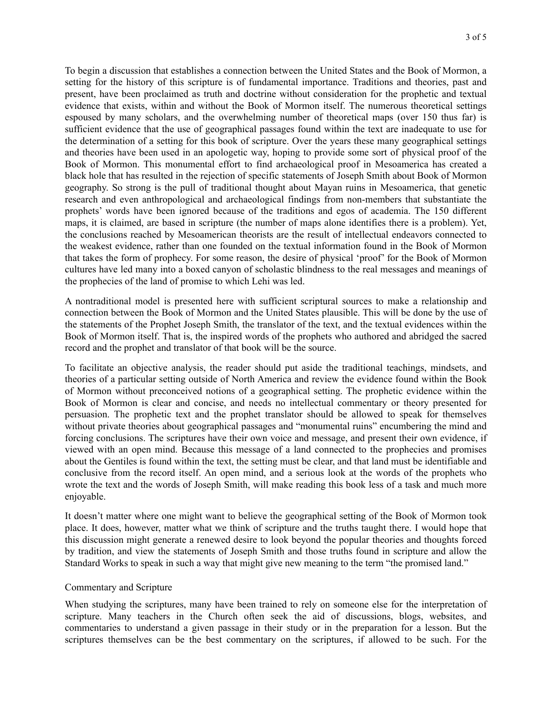To begin a discussion that establishes a connection between the United States and the Book of Mormon, a setting for the history of this scripture is of fundamental importance. Traditions and theories, past and present, have been proclaimed as truth and doctrine without consideration for the prophetic and textual evidence that exists, within and without the Book of Mormon itself. The numerous theoretical settings espoused by many scholars, and the overwhelming number of theoretical maps (over 150 thus far) is sufficient evidence that the use of geographical passages found within the text are inadequate to use for the determination of a setting for this book of scripture. Over the years these many geographical settings and theories have been used in an apologetic way, hoping to provide some sort of physical proof of the Book of Mormon. This monumental effort to find archaeological proof in Mesoamerica has created a black hole that has resulted in the rejection of specific statements of Joseph Smith about Book of Mormon geography. So strong is the pull of traditional thought about Mayan ruins in Mesoamerica, that genetic research and even anthropological and archaeological findings from non-members that substantiate the prophets' words have been ignored because of the traditions and egos of academia. The 150 different maps, it is claimed, are based in scripture (the number of maps alone identifies there is a problem). Yet, the conclusions reached by Mesoamerican theorists are the result of intellectual endeavors connected to the weakest evidence, rather than one founded on the textual information found in the Book of Mormon that takes the form of prophecy. For some reason, the desire of physical 'proof' for the Book of Mormon cultures have led many into a boxed canyon of scholastic blindness to the real messages and meanings of the prophecies of the land of promise to which Lehi was led.

A nontraditional model is presented here with sufficient scriptural sources to make a relationship and connection between the Book of Mormon and the United States plausible. This will be done by the use of the statements of the Prophet Joseph Smith, the translator of the text, and the textual evidences within the Book of Mormon itself. That is, the inspired words of the prophets who authored and abridged the sacred record and the prophet and translator of that book will be the source.

To facilitate an objective analysis, the reader should put aside the traditional teachings, mindsets, and theories of a particular setting outside of North America and review the evidence found within the Book of Mormon without preconceived notions of a geographical setting. The prophetic evidence within the Book of Mormon is clear and concise, and needs no intellectual commentary or theory presented for persuasion. The prophetic text and the prophet translator should be allowed to speak for themselves without private theories about geographical passages and "monumental ruins" encumbering the mind and forcing conclusions. The scriptures have their own voice and message, and present their own evidence, if viewed with an open mind. Because this message of a land connected to the prophecies and promises about the Gentiles is found within the text, the setting must be clear, and that land must be identifiable and conclusive from the record itself. An open mind, and a serious look at the words of the prophets who wrote the text and the words of Joseph Smith, will make reading this book less of a task and much more enjoyable.

It doesn't matter where one might want to believe the geographical setting of the Book of Mormon took place. It does, however, matter what we think of scripture and the truths taught there. I would hope that this discussion might generate a renewed desire to look beyond the popular theories and thoughts forced by tradition, and view the statements of Joseph Smith and those truths found in scripture and allow the Standard Works to speak in such a way that might give new meaning to the term "the promised land."

#### Commentary and Scripture

When studying the scriptures, many have been trained to rely on someone else for the interpretation of scripture. Many teachers in the Church often seek the aid of discussions, blogs, websites, and commentaries to understand a given passage in their study or in the preparation for a lesson. But the scriptures themselves can be the best commentary on the scriptures, if allowed to be such. For the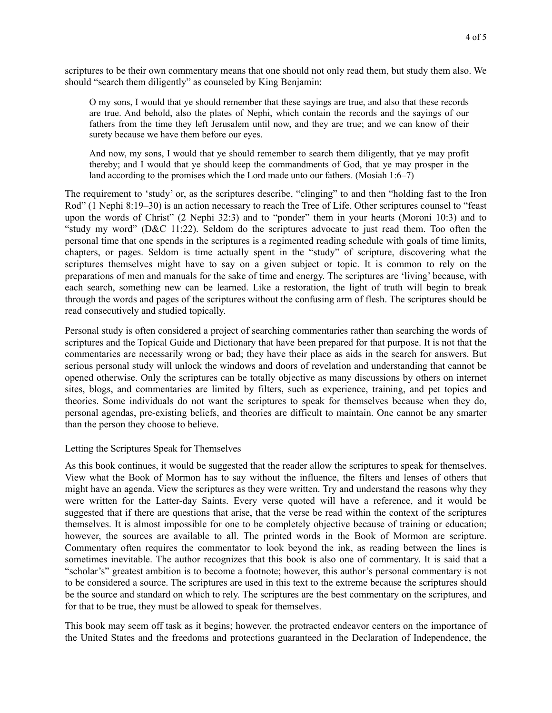scriptures to be their own commentary means that one should not only read them, but study them also. We should "search them diligently" as counseled by King Benjamin:

O my sons, I would that ye should remember that these sayings are true, and also that these records are true. And behold, also the plates of Nephi, which contain the records and the sayings of our fathers from the time they left Jerusalem until now, and they are true; and we can know of their surety because we have them before our eyes.

And now, my sons, I would that ye should remember to search them diligently, that ye may profit thereby; and I would that ye should keep the commandments of God, that ye may prosper in the land according to the promises which the Lord made unto our fathers. (Mosiah 1:6–7)

The requirement to 'study' or, as the scriptures describe, "clinging" to and then "holding fast to the Iron Rod" (1 Nephi 8:19–30) is an action necessary to reach the Tree of Life. Other scriptures counsel to "feast" upon the words of Christ" (2 Nephi 32:3) and to "ponder" them in your hearts (Moroni 10:3) and to "study my word" (D&C 11:22). Seldom do the scriptures advocate to just read them. Too often the personal time that one spends in the scriptures is a regimented reading schedule with goals of time limits, chapters, or pages. Seldom is time actually spent in the "study" of scripture, discovering what the scriptures themselves might have to say on a given subject or topic. It is common to rely on the preparations of men and manuals for the sake of time and energy. The scriptures are 'living' because, with each search, something new can be learned. Like a restoration, the light of truth will begin to break through the words and pages of the scriptures without the confusing arm of flesh. The scriptures should be read consecutively and studied topically.

Personal study is often considered a project of searching commentaries rather than searching the words of scriptures and the Topical Guide and Dictionary that have been prepared for that purpose. It is not that the commentaries are necessarily wrong or bad; they have their place as aids in the search for answers. But serious personal study will unlock the windows and doors of revelation and understanding that cannot be opened otherwise. Only the scriptures can be totally objective as many discussions by others on internet sites, blogs, and commentaries are limited by filters, such as experience, training, and pet topics and theories. Some individuals do not want the scriptures to speak for themselves because when they do, personal agendas, pre-existing beliefs, and theories are difficult to maintain. One cannot be any smarter than the person they choose to believe.

#### Letting the Scriptures Speak for Themselves

As this book continues, it would be suggested that the reader allow the scriptures to speak for themselves. View what the Book of Mormon has to say without the influence, the filters and lenses of others that might have an agenda. View the scriptures as they were written. Try and understand the reasons why they were written for the Latter-day Saints. Every verse quoted will have a reference, and it would be suggested that if there are questions that arise, that the verse be read within the context of the scriptures themselves. It is almost impossible for one to be completely objective because of training or education; however, the sources are available to all. The printed words in the Book of Mormon are scripture. Commentary often requires the commentator to look beyond the ink, as reading between the lines is sometimes inevitable. The author recognizes that this book is also one of commentary. It is said that a "scholar's" greatest ambition is to become a footnote; however, this author's personal commentary is not to be considered a source. The scriptures are used in this text to the extreme because the scriptures should be the source and standard on which to rely. The scriptures are the best commentary on the scriptures, and for that to be true, they must be allowed to speak for themselves.

This book may seem off task as it begins; however, the protracted endeavor centers on the importance of the United States and the freedoms and protections guaranteed in the Declaration of Independence, the